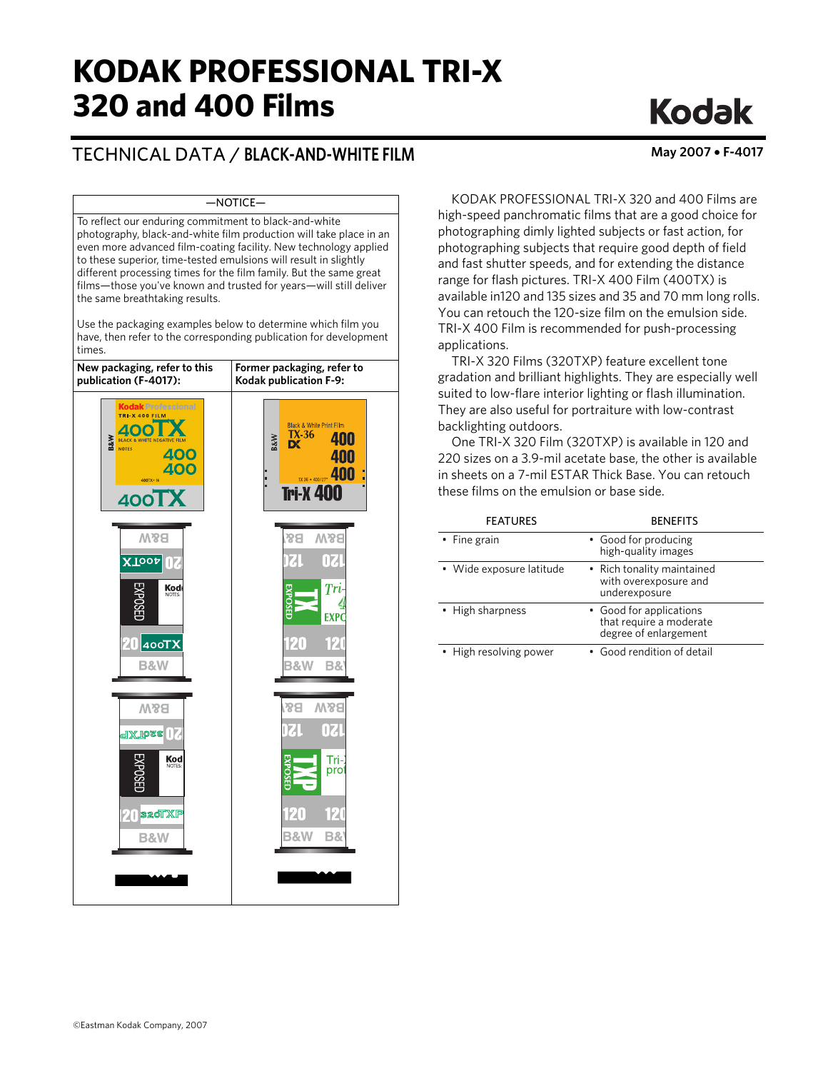# **KODAK PROFESSIONAL TRI-X 320 and 400 Films**

# TECHNICAL DATA / **BLACK-AND-WHITE FILM May 2007** • **F-4017**

# —NOTICE—

To reflect our enduring commitment to black-and-white photography, black-and-white film production will take place in an even more advanced film-coating facility. New technology applied to these superior, time-tested emulsions will result in slightly different processing times for the film family. But the same great films—those you've known and trusted for years—will still deliver the same breathtaking results.

Use the packaging examples below to determine which film you have, then refer to the corresponding publication for development times.

| New packaging, refer to this<br>publication (F-4017):                                                                                                        | Former packaging, refer to<br>Kodak publication F-9:                                                                                                        |
|--------------------------------------------------------------------------------------------------------------------------------------------------------------|-------------------------------------------------------------------------------------------------------------------------------------------------------------|
| <b>Kodak Professional</b><br><b>TRI-X 400 FILM</b><br><b>B&amp;W</b><br><b>IK &amp; WHITE NEGATIVE FILM</b><br><b>NOTES</b><br>400<br>400<br>400TX+36<br>400 | <b>Black &amp; White Print Film</b><br>$TX-36$<br>400<br><b>B&amp;W</b><br><b>D</b><br>400<br>TX 36 + 400/27 <sup>c</sup> 400<br>E<br>L<br><b>Tri-X 400</b> |
| <b>M&amp;B</b><br><b>XTOOA</b>                                                                                                                               | <b>W&amp;B</b><br><b>B&amp;</b><br>0Z<br>DZU                                                                                                                |
| Kod                                                                                                                                                          | Ţri<br><b>EXPOSEL</b><br><b>EXPC</b>                                                                                                                        |
| $20$ 400TX<br><b>B&amp;W</b>                                                                                                                                 | 120<br>120<br><b>B&amp;W</b><br><b>B&amp;</b>                                                                                                               |
| <b>W<sub>8</sub>a</b><br>1XToss in                                                                                                                           | 88<br><b>M&amp;B</b><br>071<br>IZ                                                                                                                           |
| $Kod$ <sub>NOTES:</sub>                                                                                                                                      | Tri-<br>pro<br>УFГ                                                                                                                                          |
| $20$ s2oTXP<br><b>B&amp;W</b>                                                                                                                                | ikti<br>120<br><b>B&amp;W</b><br>В&                                                                                                                         |
|                                                                                                                                                              |                                                                                                                                                             |

**Kodak** 

KODAK PROFESSIONAL TRI-X 320 and 400 Films are high-speed panchromatic films that are a good choice for photographing dimly lighted subjects or fast action, for photographing subjects that require good depth of field and fast shutter speeds, and for extending the distance range for flash pictures. TRI-X 400 Film (400TX) is available in120 and 135 sizes and 35 and 70 mm long rolls. You can retouch the 120-size film on the emulsion side. TRI-X 400 Film is recommended for push-processing applications.

TRI-X 320 Films (320TXP) feature excellent tone gradation and brilliant highlights. They are especially well suited to low-flare interior lighting or flash illumination. They are also useful for portraiture with low-contrast backlighting outdoors.

One TRI-X 320 Film (320TXP) is available in 120 and 220 sizes on a 3.9-mil acetate base, the other is available in sheets on a 7-mil ESTAR Thick Base. You can retouch these films on the emulsion or base side.

| <b>FEATURES</b>          | <b>BENEFITS</b>                                                             |
|--------------------------|-----------------------------------------------------------------------------|
| • Fine grain             | • Good for producing<br>high-quality images                                 |
| • Wide exposure latitude | • Rich tonality maintained<br>with overexposure and<br>underexposure        |
| • High sharpness         | • Good for applications<br>that require a moderate<br>degree of enlargement |
| • High resolving power   | • Good rendition of detail                                                  |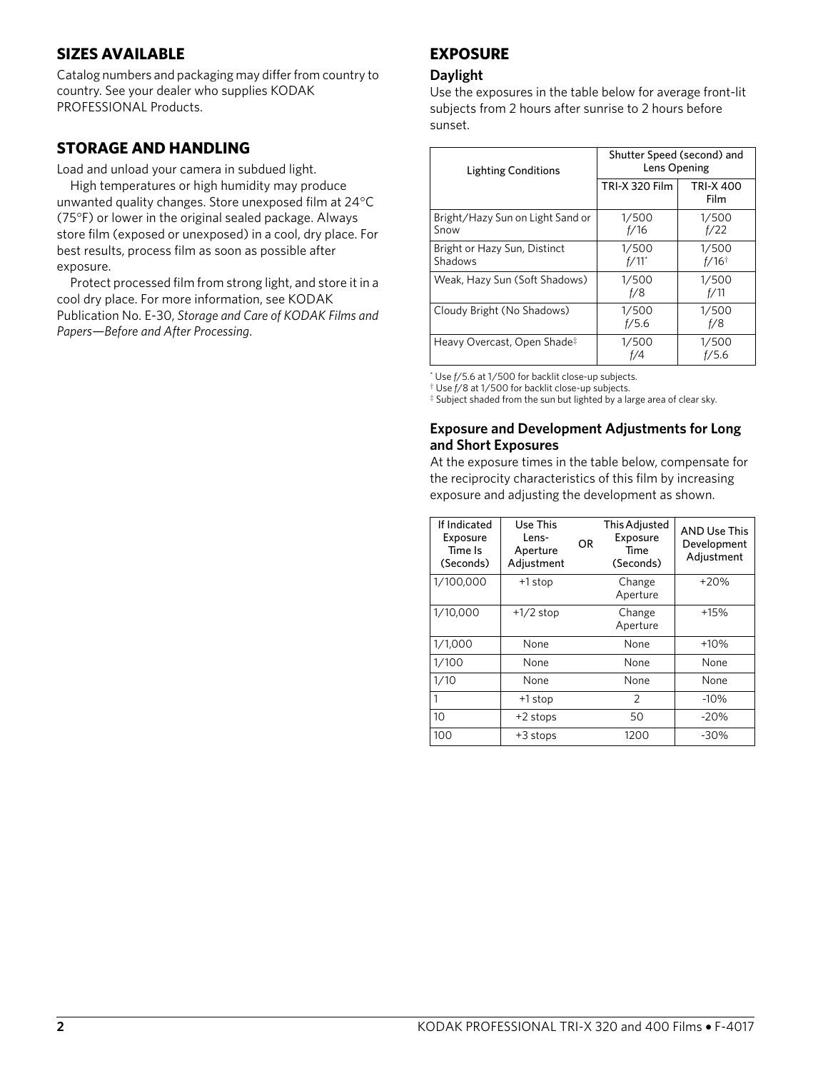# **SIZES AVAILABLE**

Catalog numbers and packaging may differ from country to country. See your dealer who supplies KODAK PROFESSIONAL Products.

# **STORAGE AND HANDLING**

Load and unload your camera in subdued light.

High temperatures or high humidity may produce unwanted quality changes. Store unexposed film at 24°C (75°F) or lower in the original sealed package. Always store film (exposed or unexposed) in a cool, dry place. For best results, process film as soon as possible after exposure.

Protect processed film from strong light, and store it in a cool dry place. For more information, see KODAK Publication No. E-30, *Storage and Care of KODAK Films and Papers—Before and After Processing*.

# **EXPOSURE**

## **Daylight**

Use the exposures in the table below for average front-lit subjects from 2 hours after sunrise to 2 hours before sunset.

| <b>Lighting Conditions</b>               | Shutter Speed (second) and<br>Lens Opening |                              |  |  |
|------------------------------------------|--------------------------------------------|------------------------------|--|--|
|                                          | <b>TRI-X 320 Film</b>                      | <b>TRI-X 400</b><br>Film     |  |  |
| Bright/Hazy Sun on Light Sand or<br>Snow | 1/500<br>f/16                              | 1/500<br>f/22                |  |  |
| Bright or Hazy Sun, Distinct<br>Shadows  | 1/500<br>$f/11$ <sup>*</sup>               | 1/500<br>$f/16$ <sup>†</sup> |  |  |
| Weak, Hazy Sun (Soft Shadows)            | 1/500<br>f/8                               | 1/500<br>f/11                |  |  |
| Cloudy Bright (No Shadows)               | 1/500<br>f/5.6                             | 1/500<br>f/8                 |  |  |
| Heavy Overcast, Open Shade‡              | 1/500<br>f/4                               | 1/500<br>f/5.6               |  |  |

\* Use *f*/5.6 at 1/500 for backlit close-up subjects.

† Use *f*/8 at 1/500 for backlit close-up subjects.

‡ Subject shaded from the sun but lighted by a large area of clear sky.

## **Exposure and Development Adjustments for Long and Short Exposures**

At the exposure times in the table below, compensate for the reciprocity characteristics of this film by increasing exposure and adjusting the development as shown.

| If Indicated<br>Exposure<br>Time Is<br>(Seconds) | Use This<br>Lens-<br>Aperture<br>Adjustment | OR | This Adjusted<br>Exposure<br>Time<br>(Seconds) | <b>AND Use This</b><br>Development<br>Adjustment |
|--------------------------------------------------|---------------------------------------------|----|------------------------------------------------|--------------------------------------------------|
| 1/100,000                                        | +1 stop                                     |    | Change<br>Aperture                             | $+20%$                                           |
| 1/10,000                                         | $+1/2$ stop                                 |    | Change<br>Aperture                             | $+15%$                                           |
| 1/1,000                                          | None                                        |    | None                                           | $+10%$                                           |
| 1/100                                            | None                                        |    | None                                           | None                                             |
| 1/10                                             | None                                        |    | None                                           | None                                             |
| 1                                                | +1 stop                                     |    | 2                                              | $-10%$                                           |
| 10                                               | +2 stops                                    |    | 50                                             | $-20%$                                           |
| 100                                              | +3 stops                                    |    | 1200                                           | $-30%$                                           |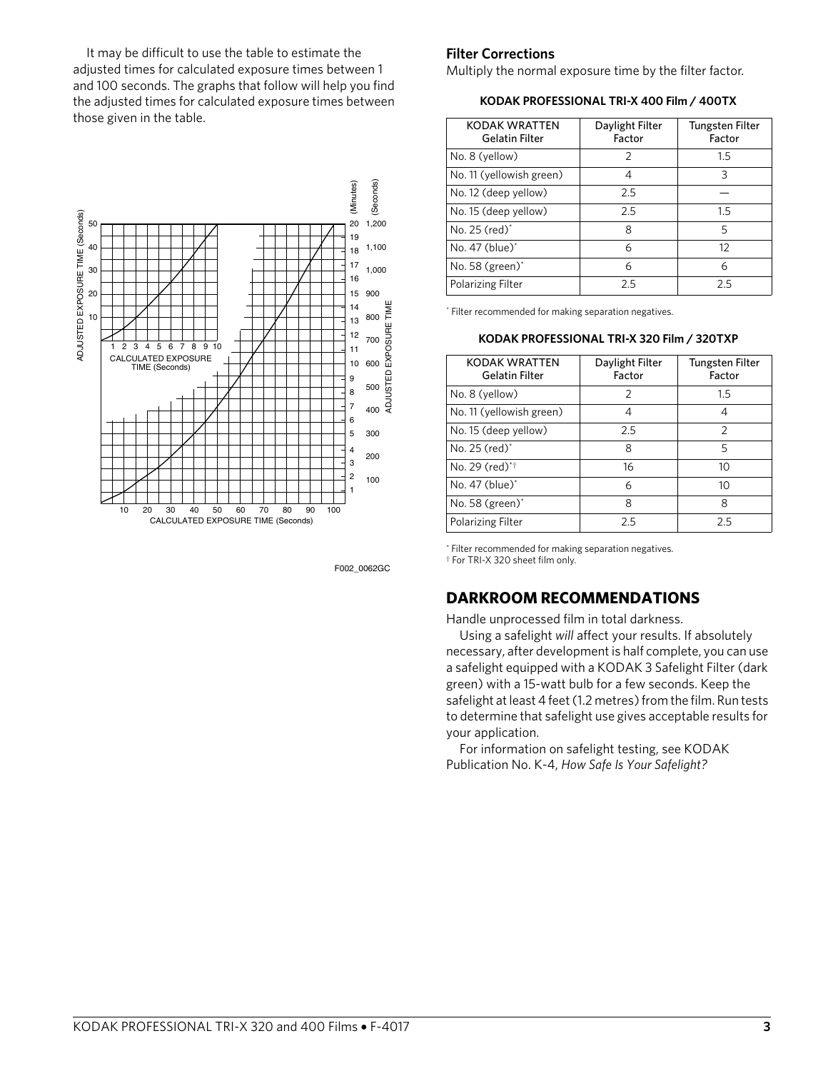It may be difficult to use the table to estimate the adjusted times for calculated exposure times between 1 and 100 seconds. The graphs that follow will help you find the adjusted times for calculated exposure times between those given in the table.



F002 0062GC

## **Filter Corrections**

Multiply the normal exposure time by the filter factor.

**KODAK PROFESSIONAL TRI-X 400 Film / 400TX**

| <b>KODAK WRATTEN</b><br><b>Gelatin Filter</b> | Daylight Filter<br>Factor | <b>Tungsten Filter</b><br>Factor |
|-----------------------------------------------|---------------------------|----------------------------------|
| No. 8 (yellow)                                | $\mathcal{P}$             | 1.5                              |
| No. 11 (yellowish green)                      | 4                         | 3                                |
| No. 12 (deep yellow)                          | 2.5                       |                                  |
| No. 15 (deep yellow)                          | 2.5                       | 1.5                              |
| No. 25 (red)*                                 | 8                         | 5                                |
| No. 47 (blue) $^*$                            | 6                         | 12                               |
| No. 58 $(green)^*$                            | 6                         | 6                                |
| Polarizing Filter                             | つら                        | つら                               |

\* Filter recommended for making separation negatives.

#### **KODAK PROFESSIONAL TRI-X 320 Film / 320TXP**

| <b>KODAK WRATTEN</b><br><b>Gelatin Filter</b> | Daylight Filter<br>Factor | <b>Tungsten Filter</b><br>Factor |
|-----------------------------------------------|---------------------------|----------------------------------|
| No. 8 (yellow)                                | $\mathcal{P}$             | 1.5                              |
| No. 11 (yellowish green)                      | 4                         | 4                                |
| No. 15 (deep yellow)                          | 2.5                       | $\mathcal{P}$                    |
| No. 25 (red) $*$                              | 8                         | 5                                |
| No. 29 (red)*†                                | 16                        | 10                               |
| No. 47 (blue)*                                | 6                         | 10                               |
| No. 58 $(green)^*$                            | 8                         | 8                                |
| Polarizing Filter                             | 2.5                       | 2.5                              |

\* Filter recommended for making separation negatives. † For TRI-X 320 sheet film only.

## **DARKROOM RECOMMENDATIONS**

Handle unprocessed film in total darkness.

Using a safelight *will* affect your results. If absolutely necessary, after development is half complete, you can use a safelight equipped with a KODAK 3 Safelight Filter (dark green) with a 15-watt bulb for a few seconds. Keep the safelight at least 4 feet (1.2 metres) from the film. Run tests to determine that safelight use gives acceptable results for your application.

For information on safelight testing, see KODAK Publication No. K-4, *How Safe Is Your Safelight?*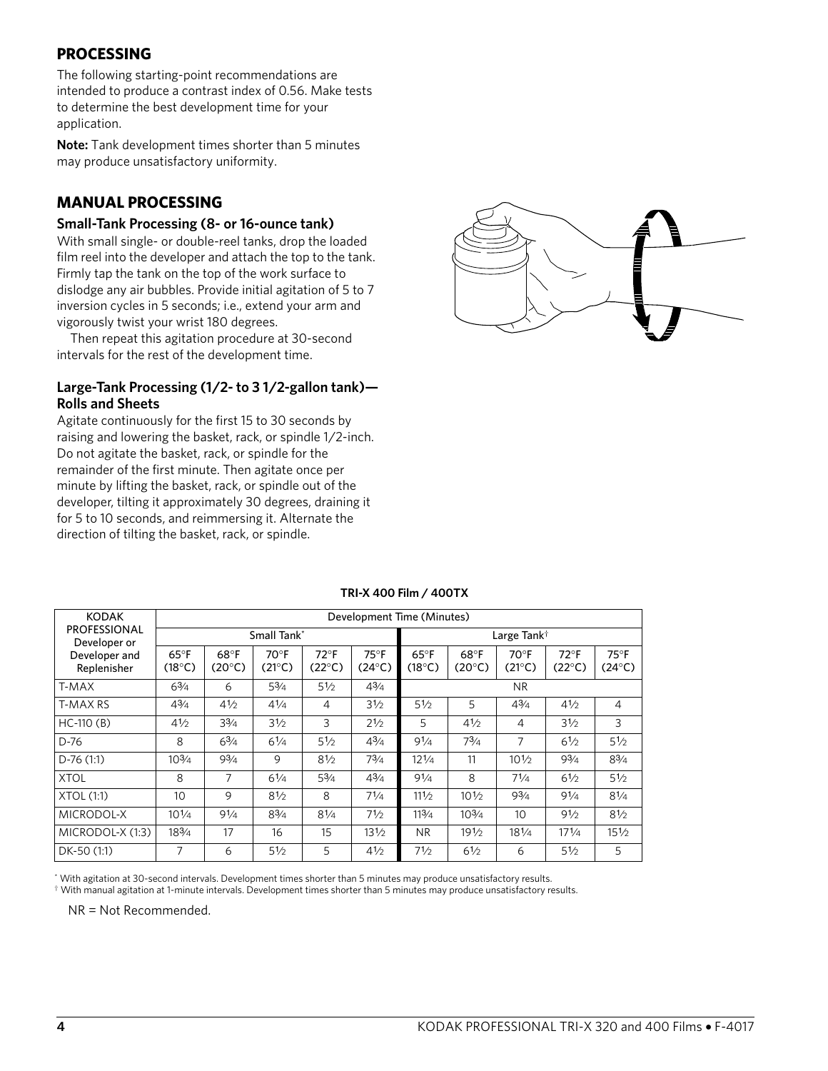# **PROCESSING**

The following starting-point recommendations are intended to produce a contrast index of 0.56. Make tests to determine the best development time for your application.

**Note:** Tank development times shorter than 5 minutes may produce unsatisfactory uniformity.

# **MANUAL PROCESSING**

## **Small-Tank Processing (8- or 16-ounce tank)**

With small single- or double-reel tanks, drop the loaded film reel into the developer and attach the top to the tank. Firmly tap the tank on the top of the work surface to dislodge any air bubbles. Provide initial agitation of 5 to 7 inversion cycles in 5 seconds; i.e., extend your arm and vigorously twist your wrist 180 degrees.

Then repeat this agitation procedure at 30-second intervals for the rest of the development time.

## **Large-Tank Processing (1/2- to 3 1/2-gallon tank)— Rolls and Sheets**

Agitate continuously for the first 15 to 30 seconds by raising and lowering the basket, rack, or spindle 1/2-inch. Do not agitate the basket, rack, or spindle for the remainder of the first minute. Then agitate once per minute by lifting the basket, rack, or spindle out of the developer, tilting it approximately 30 degrees, draining it for 5 to 10 seconds, and reimmersing it. Alternate the direction of tilting the basket, rack, or spindle.



| <b>KODAK</b>                        | Development Time (Minutes)        |                         |                                   |                                   |                         |                          |                         |                         |                                   |                                 |  |  |
|-------------------------------------|-----------------------------------|-------------------------|-----------------------------------|-----------------------------------|-------------------------|--------------------------|-------------------------|-------------------------|-----------------------------------|---------------------------------|--|--|
| <b>PROFESSIONAL</b><br>Developer or |                                   |                         | Small Tank*                       |                                   |                         |                          |                         | Large Tank <sup>†</sup> |                                   |                                 |  |  |
| Developer and<br>Replenisher        | $65^{\circ}$ F<br>$(18^{\circ}C)$ | 68°F<br>$(20^{\circ}C)$ | $70^{\circ}$ F<br>$(21^{\circ}C)$ | $72^{\circ}$ F<br>$(22^{\circ}C)$ | 75°F<br>$(24^{\circ}C)$ | $65^{\circ}$ F<br>(18°C) | 68°F<br>$(20^{\circ}C)$ | 70°F<br>$(21^{\circ}C)$ | $72^{\circ}$ F<br>$(22^{\circ}C)$ | $75^\circ F$<br>$(24^{\circ}C)$ |  |  |
| T-MAX                               | $6^{3}/4$                         | 6                       | $5^{3}/4$                         | $5\frac{1}{2}$                    | $4^{3}/4$               |                          |                         | N <sub>R</sub>          |                                   |                                 |  |  |
| T-MAX RS                            | $4^{3}/4$                         | $4\frac{1}{2}$          | $4^{1/4}$                         | 4                                 | 31/2                    | 51/2                     | 5                       | $4^{3}/4$               | 41/2                              | $\overline{4}$                  |  |  |
| $HC-110(B)$                         | $4\frac{1}{2}$                    | $3\frac{3}{4}$          | 31/2                              | 3                                 | 21/2                    | 5                        | 41/2                    | 4                       | 31/2                              | 3                               |  |  |
| D-76                                | 8                                 | $6^{3}/4$               | 61/4                              | 51/2                              | $4^{3}/4$               | 91/4                     | $7^{3}/4$               | 7                       | 61/2                              | 51/2                            |  |  |
| $D-76(1:1)$                         | $10^{3}/4$                        | $9^{3}/_{4}$            | 9                                 | 81/2                              | $7^{3}/_{4}$            | $12^{1/4}$               | 11                      | $10^{1/2}$              | $9^{3}/4$                         | $8^{3}/4$                       |  |  |
| <b>XTOL</b>                         | 8                                 | 7                       | $6^{1/4}$                         | $5\frac{3}{4}$                    | $4^{3}/4$               | 91/4                     | 8                       | $7^{1/4}$               | 61/2                              | 51/2                            |  |  |
| <b>XTOL (1:1)</b>                   | 10                                | 9                       | 81/2                              | 8                                 | $7^{1/4}$               | 111/2                    | 101/2                   | 93/4                    | 91/4                              | 81/4                            |  |  |
| MICRODOL-X                          | $10^{1/4}$                        | 91/4                    | $8^{3}/4$                         | 81/4                              | 71/2                    | 113/4                    | $10^{3}/4$              | 10                      | 91/2                              | 81/2                            |  |  |
| MICRODOL-X (1:3)                    | 183/4                             | 17                      | 16                                | 15                                | 131/2                   | N <sub>R</sub>           | 191/2                   | $18^{1/4}$              | $17^{1/4}$                        | $15\frac{1}{2}$                 |  |  |
| DK-50 (1:1)                         | 7                                 | 6                       | 51/2                              | 5                                 | 41/2                    | 71⁄2                     | $6\frac{1}{2}$          | 6                       | 51/2                              | 5                               |  |  |

#### **TRI-X 400 Film / 400TX**

\* With agitation at 30-second intervals. Development times shorter than 5 minutes may produce unsatisfactory results.

† With manual agitation at 1-minute intervals. Development times shorter than 5 minutes may produce unsatisfactory results.

NR = Not Recommended.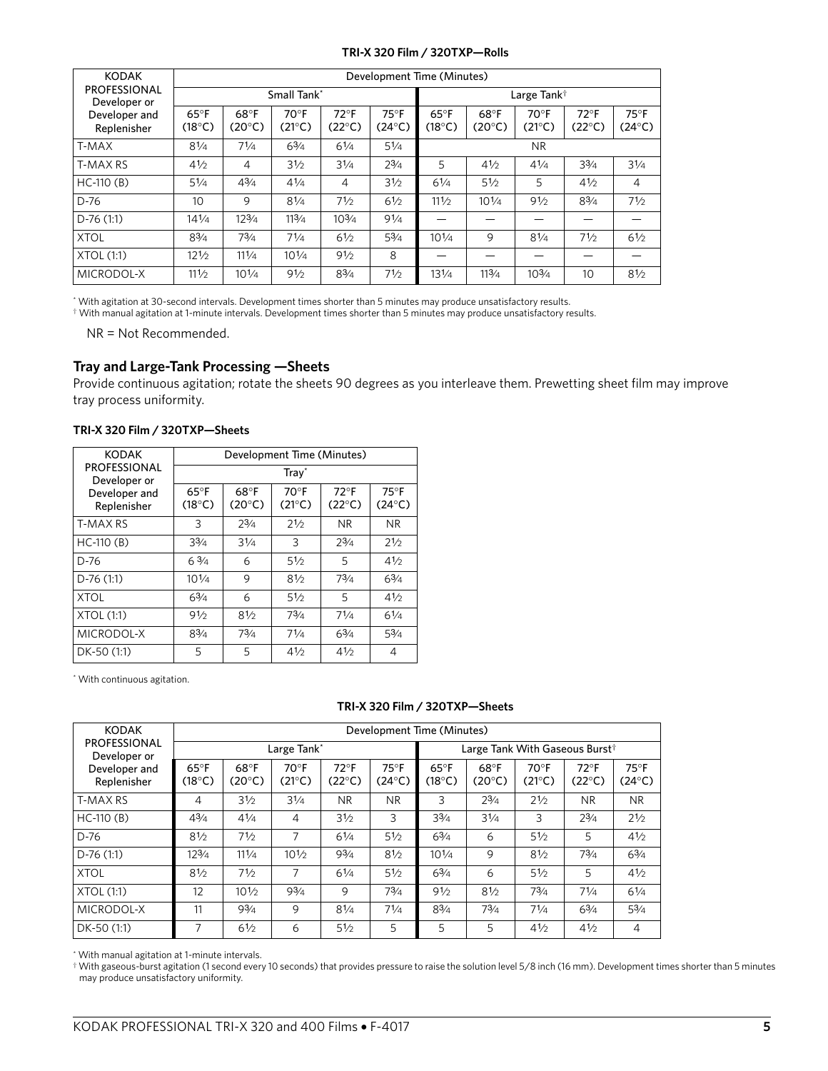#### **TRI-X 320 Film / 320TXP—Rolls**

| <b>KODAK</b>                        | Development Time (Minutes)        |                         |                        |                                  |                                   |                                   |                         |                                 |                          |                         |  |
|-------------------------------------|-----------------------------------|-------------------------|------------------------|----------------------------------|-----------------------------------|-----------------------------------|-------------------------|---------------------------------|--------------------------|-------------------------|--|
| <b>PROFESSIONAL</b><br>Developer or |                                   |                         | Small Tank*            |                                  |                                   |                                   |                         | Large Tank <sup>†</sup>         |                          |                         |  |
| Developer and<br>Replenisher        | $65^{\circ}$ F<br>$(18^{\circ}C)$ | 68°F<br>$(20^{\circ}C)$ | $70^\circ F$<br>(21°C) | $72^{\circ}F$<br>$(22^{\circ}C)$ | $75^{\circ}$ F<br>$(24^{\circ}C)$ | $65^{\circ}$ F<br>$(18^{\circ}C)$ | 68°F<br>$(20^{\circ}C)$ | $70^\circ F$<br>$(21^{\circ}C)$ | $72^{\circ}$ F<br>(22°C) | 75°F<br>$(24^{\circ}C)$ |  |
| T-MAX                               | 81/4                              | 71/4                    | 63/4                   | 61/4                             | 51/4                              | <b>NR</b>                         |                         |                                 |                          |                         |  |
| <b>T-MAX RS</b>                     | 41/2                              | 4                       | 31/2                   | 31/4                             | $2^{3/4}$                         | 5                                 | 41/2                    | 41/4                            | 33/4                     | 31/4                    |  |
| $HC-110(B)$                         | 51/4                              | 43/4                    | 41/4                   | 4                                | 31/2                              | 61/4                              | 51/2                    | 5                               | 41/2                     | $\overline{4}$          |  |
| $D-76$                              | 10                                | 9                       | 81/4                   | 71/2                             | 61/2                              | 111/2                             | $10^{1/4}$              | 91/2                            | 83/4                     | 71/2                    |  |
| $D-76(1:1)$                         | $14^{1/4}$                        | 123/4                   | 113/4                  | $10^{3/4}$                       | 91/4                              |                                   |                         |                                 |                          |                         |  |
| <b>XTOL</b>                         | 83/4                              | 73/4                    | 71/4                   | 61/2                             | 53/4                              | $10^{1/4}$                        | 9                       | 81/4                            | 71/2                     | 61/2                    |  |
| <b>XTOL (1:1)</b>                   | 121/2                             | 111/4                   | $10^{1/4}$             | 91/2                             | 8                                 |                                   |                         |                                 |                          |                         |  |
| MICRODOL-X                          | 111/2                             | $10^{1/4}$              | 91/2                   | 83/4                             | 71/2                              | 131/4                             | 113/4                   | 103/4                           | 10                       | 81/2                    |  |

\* With agitation at 30-second intervals. Development times shorter than 5 minutes may produce unsatisfactory results.

 $\dagger$  With manual agitation at 1-minute intervals. Development times shorter than 5 minutes may produce unsatisfactory results.

NR = Not Recommended.

## **Tray and Large-Tank Processing —Sheets**

Provide continuous agitation; rotate the sheets 90 degrees as you interleave them. Prewetting sheet film may improve tray process uniformity.

| TRI-X 320 Film / 320TXP-Sheets |  |
|--------------------------------|--|
|--------------------------------|--|

| <b>KODAK</b>                        | Development Time (Minutes)        |                         |                         |                                  |                                 |  |  |  |  |  |
|-------------------------------------|-----------------------------------|-------------------------|-------------------------|----------------------------------|---------------------------------|--|--|--|--|--|
| <b>PROFESSIONAL</b><br>Developer or | $Tray^*$                          |                         |                         |                                  |                                 |  |  |  |  |  |
| Developer and<br>Replenisher        | $65^{\circ}$ F<br>$(18^{\circ}C)$ | 68°F<br>$(20^{\circ}C)$ | 70°F<br>$(21^{\circ}C)$ | $72^{\circ}F$<br>$(22^{\circ}C)$ | $75^\circ F$<br>$(24^{\circ}C)$ |  |  |  |  |  |
| T-MAX RS                            | 3                                 | $2^{3/4}$               | 21/2                    | <b>NR</b>                        | N <sub>R</sub>                  |  |  |  |  |  |
| $HC-110(B)$                         | $3^{3}/4$                         | 31/4                    | 3                       | $2^{3/4}$                        | 21/2                            |  |  |  |  |  |
| $D-76$                              | $6\frac{3}{4}$                    | 6                       | $5\frac{1}{2}$          | 5                                | 41/2                            |  |  |  |  |  |
| $D-76(1:1)$                         | $10^{1/4}$                        | 9                       | 81/2                    | $7^{3}/4$                        | $6^{3}/4$                       |  |  |  |  |  |
| <b>XTOL</b>                         | $6^{3}/4$                         | 6                       | 51/2                    | 5                                | 41/2                            |  |  |  |  |  |
| XTOL (1:1)                          | 91/2                              | 81/2                    | $7^{3}/4$               | $7^{1/4}$                        | $6\frac{1}{4}$                  |  |  |  |  |  |
| MICRODOL-X                          | $8^{3}/4$                         | $7^{3}/4$               | 71/4                    | $6^{3}/4$                        | $5^{3}/4$                       |  |  |  |  |  |
| DK-50 (1:1)                         | 5                                 | 5                       | 41/2                    | 41/2                             | 4                               |  |  |  |  |  |

\* With continuous agitation.

#### **TRI-X 320 Film / 320TXP—Sheets**

| <b>KODAK</b>                        | Development Time (Minutes)        |                         |                        |                                  |                                 |                                   |                         |                        |                                            |                                 |  |
|-------------------------------------|-----------------------------------|-------------------------|------------------------|----------------------------------|---------------------------------|-----------------------------------|-------------------------|------------------------|--------------------------------------------|---------------------------------|--|
| <b>PROFESSIONAL</b><br>Developer or |                                   |                         | Large Tank*            |                                  |                                 |                                   |                         |                        | Large Tank With Gaseous Burst <sup>†</sup> |                                 |  |
| Developer and<br>Replenisher        | $65^{\circ}$ F<br>$(18^{\circ}C)$ | 68°F<br>$(20^{\circ}C)$ | $70^\circ F$<br>(21°C) | $72^{\circ}F$<br>$(22^{\circ}C)$ | $75^\circ F$<br>$(24^{\circ}C)$ | $65^{\circ}$ F<br>$(18^{\circ}C)$ | 68°F<br>$(20^{\circ}C)$ | $70^\circ F$<br>(21°C) | $72^{\circ}$ F<br>(22°C)                   | $75^\circ F$<br>$(24^{\circ}C)$ |  |
| <b>T-MAX RS</b>                     | 4                                 | 31/2                    | 31/4                   | <b>NR</b>                        | <b>NR</b>                       | 3                                 | $2^{3/4}$               | 21/2                   | <b>NR</b>                                  | <b>NR</b>                       |  |
| $HC-110(B)$                         | $4^{3}/4$                         | $4^{1/4}$               | $\overline{4}$         | 31/2                             | 3                               | $3^{3}/4$                         | 31/4                    | 3                      | $2^{3/4}$                                  | 21/2                            |  |
| D-76                                | 81/2                              | 71/2                    | 7                      | $6^{1/4}$                        | $5\frac{1}{2}$                  | $6^{3}/4$                         | 6                       | 51/2                   | 5                                          | 41/2                            |  |
| $D-76(1:1)$                         | $12^{3}/4$                        | 111/4                   | 101/2                  | $9^{3}/_{4}$                     | 81/2                            | $10^{1/4}$                        | 9                       | 81/2                   | $7^{3}/4$                                  | $6^{3}/4$                       |  |
| <b>XTOL</b>                         | 81/2                              | 71/2                    | 7                      | $6^{1/4}$                        | 51/2                            | $6^{3}/4$                         | 6                       | 51/2                   | 5                                          | 41/2                            |  |
| <b>XTOL (1:1)</b>                   | 12                                | 101/2                   | $9^{3}/4$              | 9                                | $7^{3}/4$                       | 91/2                              | 81/2                    | $7^{3}/_{4}$           | $7^{1/4}$                                  | 61/4                            |  |
| MICRODOL-X                          | 11                                | 93/4                    | 9                      | 81/4                             | 71/4                            | $8^{3}/4$                         | 73/4                    | $7^{1/4}$              | $6^{3}/4$                                  | $5^{3}/4$                       |  |
| DK-50 (1:1)                         | 7                                 | 61/2                    | 6                      | $5\frac{1}{2}$                   | 5                               | 5                                 | 5                       | 41/2                   | $4\frac{1}{2}$                             | 4                               |  |

\* With manual agitation at 1-minute intervals.

† With gaseous-burst agitation (1 second every 10 seconds) that provides pressure to raise the solution level 5/8 inch (16 mm). Development times shorter than 5 minutes may produce unsatisfactory uniformity.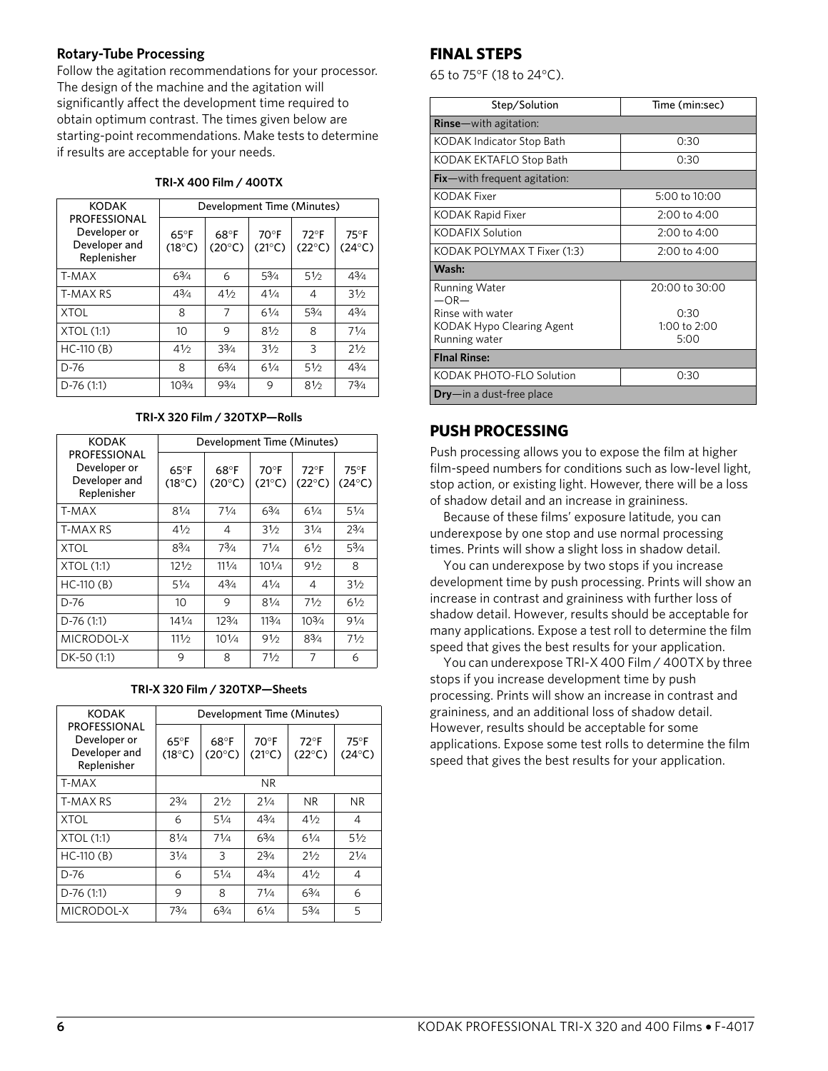## **Rotary-Tube Processing**

Follow the agitation recommendations for your processor. The design of the machine and the agitation will significantly affect the development time required to obtain optimum contrast. The times given below are starting-point recommendations. Make tests to determine if results are acceptable for your needs.

#### **TRI-X 400 Film / 400TX**

| <b>KODAK</b>                                                        | Development Time (Minutes)        |                         |                                   |                                  |                                 |  |  |  |
|---------------------------------------------------------------------|-----------------------------------|-------------------------|-----------------------------------|----------------------------------|---------------------------------|--|--|--|
| <b>PROFESSIONAL</b><br>Developer or<br>Developer and<br>Replenisher | $65^{\circ}$ F<br>$(18^{\circ}C)$ | 68°F<br>$(20^{\circ}C)$ | $70^{\circ}$ F<br>$(21^{\circ}C)$ | $72^{\circ}F$<br>$(22^{\circ}C)$ | $75^\circ F$<br>$(24^{\circ}C)$ |  |  |  |
| T-MAX                                                               | 63/4                              | 6                       | 53/4                              | 51/2                             | 43/4                            |  |  |  |
| T-MAX RS                                                            | 43/4                              | 41/2                    | 41/4                              | 4                                | 31/2                            |  |  |  |
| <b>XTOL</b>                                                         | 8                                 | 7                       | 61/4                              | 53/4                             | 43/4                            |  |  |  |
| XTOL(1:1)                                                           | 10                                | 9                       | 81/2                              | 8                                | 71/4                            |  |  |  |
| $HC-110(B)$                                                         | 41/2                              | 33/4                    | 31/2                              | 3                                | 21/2                            |  |  |  |
| $D-76$                                                              | 8                                 | 63/4                    | 61/4                              | 51/2                             | 43/4                            |  |  |  |
| $D-76(1:1)$                                                         | $10^{3/4}$                        | 93/4                    | 9                                 | 81/2                             | 73/4                            |  |  |  |

#### **TRI-X 320 Film / 320TXP—Rolls**

| <b>KODAK</b>                                                        | Development Time (Minutes)        |                         |                            |                                  |                                   |  |  |  |
|---------------------------------------------------------------------|-----------------------------------|-------------------------|----------------------------|----------------------------------|-----------------------------------|--|--|--|
| <b>PROFESSIONAL</b><br>Developer or<br>Developer and<br>Replenisher | $65^{\circ}$ F<br>$(18^{\circ}C)$ | 68°F<br>$(20^{\circ}C)$ | $70°$ F<br>$(21^{\circ}C)$ | $72^{\circ}F$<br>$(22^{\circ}C)$ | $75^{\circ}$ F<br>$(24^{\circ}C)$ |  |  |  |
| T-MAX                                                               | 81/4                              | 71/4                    | 63/4                       | 61/4                             | 51/4                              |  |  |  |
| <b>T-MAX RS</b>                                                     | 41/2                              | 4                       | 31/2                       | 31/4                             | $2^{3/4}$                         |  |  |  |
| <b>XTOL</b>                                                         | 83/4                              | 73/4                    | 71/4                       | 61/2                             | 53/4                              |  |  |  |
| <b>XTOL (1:1)</b>                                                   | 121/2                             | 111/4                   | $10^{1/4}$                 | 91/2                             | 8                                 |  |  |  |
| $HC-110(B)$                                                         | 51/4                              | 43/4                    | 41/4                       | 4                                | 31/2                              |  |  |  |
| D-76                                                                | 10                                | 9                       | 81/4                       | 71/2                             | 61/2                              |  |  |  |
| $D-76(1:1)$                                                         | $14^{1/4}$                        | 123/4                   | 113/4                      | $10^{3/4}$                       | 91/4                              |  |  |  |
| MICRODOL-X                                                          | 111/2                             | $10^{1/4}$              | 91/2                       | 83/4                             | 71/2                              |  |  |  |
| DK-50 (1:1)                                                         | 9                                 | 8                       | 71/2                       | 7                                | 6                                 |  |  |  |

#### **TRI-X 320 Film / 320TXP—Sheets**

| <b>KODAK</b>                                                        | Development Time (Minutes)        |                         |                                   |                                  |                                   |  |  |
|---------------------------------------------------------------------|-----------------------------------|-------------------------|-----------------------------------|----------------------------------|-----------------------------------|--|--|
| <b>PROFESSIONAL</b><br>Developer or<br>Developer and<br>Replenisher | $65^{\circ}$ F<br>$(18^{\circ}C)$ | 68°F<br>$(20^{\circ}C)$ | $70^{\circ}$ F<br>$(21^{\circ}C)$ | $72^{\circ}F$<br>$(22^{\circ}C)$ | $75^{\circ}$ F<br>$(24^{\circ}C)$ |  |  |
| T-MAX                                                               | <b>NR</b>                         |                         |                                   |                                  |                                   |  |  |
| <b>T-MAX RS</b>                                                     | $2^{3/4}$                         | 21/2                    | 21/4                              | <b>NR</b>                        | <b>NR</b>                         |  |  |
| <b>XTOL</b>                                                         | 6                                 | 51/4                    | 43/4                              | 41/2                             | 4                                 |  |  |
| XTOL (1:1)                                                          | 81/4                              | 71/4                    | 63/4                              | 61/4                             | 51/2                              |  |  |
| $HC-110(B)$                                                         | 31/4                              | 3                       | $2^{3/4}$                         | 21/2                             | 21/4                              |  |  |
| $D-76$                                                              | 6                                 | 51/4                    | 43/4                              | 41/2                             | 4                                 |  |  |
| $D-76(1:1)$                                                         | 9                                 | 8                       | 71/4                              | 63/4                             | 6                                 |  |  |
| MICRODOL-X                                                          | 73/4                              | 63/4                    | 61/4                              | 53/4                             | 5                                 |  |  |

# **FINAL STEPS**

65 to 75°F (18 to 24°C).

| Step/Solution                    | Time (min:sec)       |
|----------------------------------|----------------------|
| <b>Rinse</b> —with agitation:    |                      |
| KODAK Indicator Stop Bath        | 0:30                 |
| KODAK EKTAFLO Stop Bath          | 0:30                 |
| $Fix$ – with frequent agitation: |                      |
| KODAK Fixer                      | 5:00 to 10:00        |
| KODAK Rapid Fixer                | 2:00 to 4:00         |
| <b>KODAFIX Solution</b>          | 2:00 to 4:00         |
| KODAK POLYMAX T Fixer (1:3)      | 2:00 to 4:00         |
| Wash:                            |                      |
| <b>Running Water</b><br>$-OR-$   | 20:00 to 30:00       |
| Rinse with water                 | 0:30                 |
| KODAK Hypo Clearing Agent        | 1:00 to 2:00<br>5:00 |
| Running water                    |                      |
| <b>Final Rinse:</b>              |                      |
| KODAK PHOTO-FLO Solution         | 0:30                 |
| $Drv$ - in a dust-free place     |                      |

# **PUSH PROCESSING**

Push processing allows you to expose the film at higher film-speed numbers for conditions such as low-level light, stop action, or existing light. However, there will be a loss of shadow detail and an increase in graininess.

Because of these films' exposure latitude, you can underexpose by one stop and use normal processing times. Prints will show a slight loss in shadow detail.

You can underexpose by two stops if you increase development time by push processing. Prints will show an increase in contrast and graininess with further loss of shadow detail. However, results should be acceptable for many applications. Expose a test roll to determine the film speed that gives the best results for your application.

You can underexpose TRI-X 400 Film / 400TX by three stops if you increase development time by push processing. Prints will show an increase in contrast and graininess, and an additional loss of shadow detail. However, results should be acceptable for some applications. Expose some test rolls to determine the film speed that gives the best results for your application.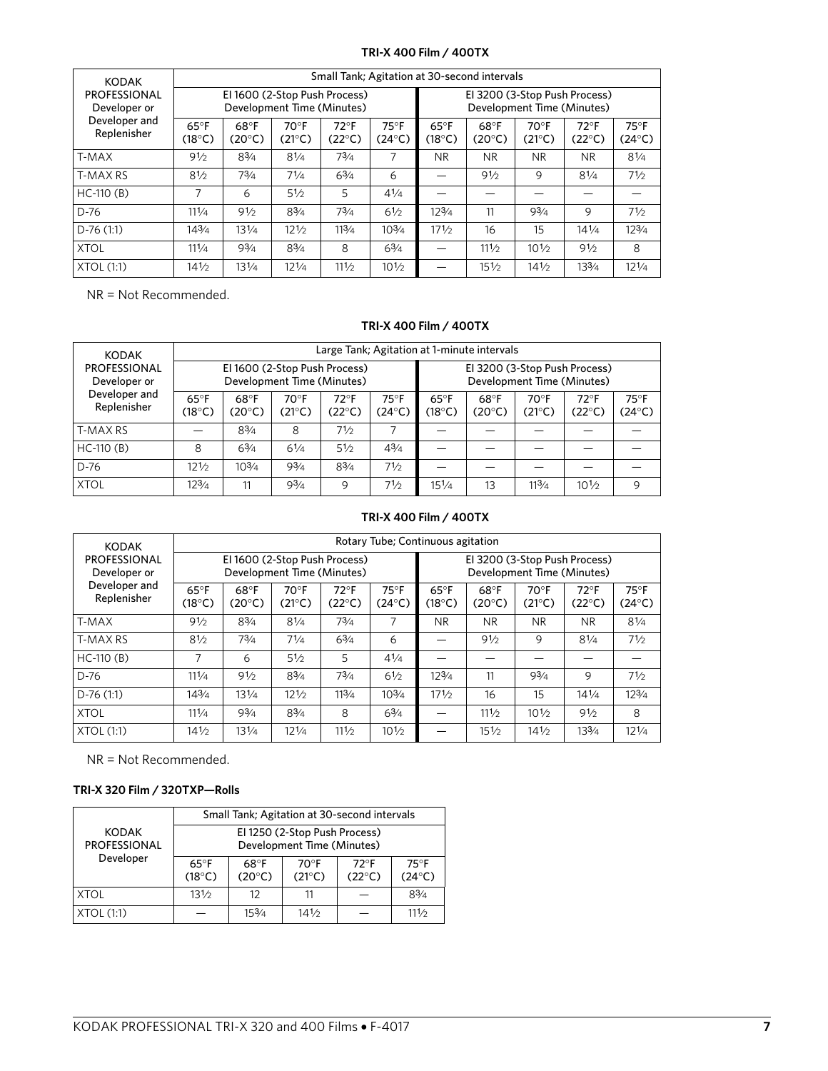## **TRI-X 400 Film / 400TX**

| <b>KODAK</b>                        | Small Tank; Agitation at 30-second intervals                |                         |                                   |                                  |                                   |                                                             |                         |                         |                                   |                                   |
|-------------------------------------|-------------------------------------------------------------|-------------------------|-----------------------------------|----------------------------------|-----------------------------------|-------------------------------------------------------------|-------------------------|-------------------------|-----------------------------------|-----------------------------------|
| <b>PROFESSIONAL</b><br>Developer or | El 1600 (2-Stop Push Process)<br>Development Time (Minutes) |                         |                                   |                                  |                                   | El 3200 (3-Stop Push Process)<br>Development Time (Minutes) |                         |                         |                                   |                                   |
| Developer and<br>Replenisher        | $65^{\circ}$ F<br>$(18^{\circ}C)$                           | 68°F<br>$(20^{\circ}C)$ | $70^{\circ}$ F<br>$(21^{\circ}C)$ | $72^{\circ}F$<br>$(22^{\circ}C)$ | $75^{\circ}$ F<br>$(24^{\circ}C)$ | $65^{\circ}$ F<br>$(18^{\circ}C)$                           | 68°F<br>$(20^{\circ}C)$ | 70°F<br>$(21^{\circ}C)$ | $72^{\circ}$ F<br>$(22^{\circ}C)$ | $75^{\circ}$ F<br>$(24^{\circ}C)$ |
| T-MAX                               | 91/2                                                        | $8^{3}/4$               | $8^{1/4}$                         | $7^{3}/_{4}$                     | 7                                 | <b>NR</b>                                                   | <b>NR</b>               | <b>NR</b>               | <b>NR</b>                         | 81/4                              |
| <b>T-MAX RS</b>                     | 81/2                                                        | $7^{3}/_{4}$            | 71/4                              | $6^{3}/4$                        | 6                                 |                                                             | 91/2                    | 9                       | $8^{1/4}$                         | 71/2                              |
| $HC-110(B)$                         | 7                                                           | 6                       | 51/2                              | 5                                | $4^{1/4}$                         |                                                             |                         |                         |                                   |                                   |
| $D-76$                              | 111/4                                                       | 91/2                    | $8^{3}/4$                         | $7^{3}/4$                        | $6\frac{1}{2}$                    | $12^{3}/4$                                                  | 11                      | $9^{3}/4$               | 9                                 | 71/2                              |
| $D-76(1:1)$                         | 143/4                                                       | 131/4                   | 121/2                             | 113/4                            | $10^{3}/4$                        | 171/2                                                       | 16                      | 15                      | $14^{1/4}$                        | 123/4                             |
| <b>XTOL</b>                         | 111/4                                                       | $9^{3}/4$               | $8^{3}/4$                         | 8                                | $6\frac{3}{4}$                    |                                                             | 111/2                   | 101/2                   | 91/2                              | 8                                 |
| <b>XTOL (1:1)</b>                   | $14\frac{1}{2}$                                             | 131/4                   | $12^{1/4}$                        | 111/2                            | $10\frac{1}{2}$                   |                                                             | 151/2                   | $14\frac{1}{2}$         | 133/4                             | $12^{1/4}$                        |

NR = Not Recommended.

#### **TRI-X 400 Film / 400TX**

| <b>KODAK</b>                        | Large Tank; Agitation at 1-minute intervals                 |                         |                   |                                  |                                                             |                          |                         |                |                          |                         |
|-------------------------------------|-------------------------------------------------------------|-------------------------|-------------------|----------------------------------|-------------------------------------------------------------|--------------------------|-------------------------|----------------|--------------------------|-------------------------|
| <b>PROFESSIONAL</b><br>Developer or | El 1600 (2-Stop Push Process)<br>Development Time (Minutes) |                         |                   |                                  | El 3200 (3-Stop Push Process)<br>Development Time (Minutes) |                          |                         |                |                          |                         |
| Developer and<br>Replenisher        | $65^{\circ}$ F<br>$(18^{\circ}C)$                           | 68°F<br>$(20^{\circ}C)$ | $70°$ F<br>(21°C) | $72^{\circ}F$<br>$(22^{\circ}C)$ | $75^{\circ}$ F<br>$(24^{\circ}C)$                           | $65^{\circ}$ F<br>(18°C) | 68°F<br>$(20^{\circ}C)$ | 70°F<br>(21°C) | $72^{\circ}$ F<br>(22°C) | 75°F<br>$(24^{\circ}C)$ |
| T-MAX RS                            |                                                             | 83/4                    | 8                 | 71/2                             |                                                             |                          |                         |                |                          |                         |
| $HC-110(B)$                         | 8                                                           | 63/4                    | 61/4              | 51/2                             | 43/4                                                        |                          |                         |                |                          |                         |
| D-76                                | 121/2                                                       | $10^{3/4}$              | 93/4              | 83/4                             | 71/2                                                        |                          |                         |                |                          |                         |
| <b>XTOL</b>                         | 123/4                                                       | 11                      | 93/4              | 9                                | 71⁄2                                                        | 151/4                    | 13                      | 113/4          | 101/2                    | 9                       |

## **TRI-X 400 Film / 400TX**

| <b>KODAK</b>                                                        | Rotary Tube; Continuous agitation                           |                         |                                 |                                   |                                   |                                                             |                         |                                 |                                   |                          |
|---------------------------------------------------------------------|-------------------------------------------------------------|-------------------------|---------------------------------|-----------------------------------|-----------------------------------|-------------------------------------------------------------|-------------------------|---------------------------------|-----------------------------------|--------------------------|
| <b>PROFESSIONAL</b><br>Developer or<br>Developer and<br>Replenisher | El 1600 (2-Stop Push Process)<br>Development Time (Minutes) |                         |                                 |                                   |                                   | El 3200 (3-Stop Push Process)<br>Development Time (Minutes) |                         |                                 |                                   |                          |
|                                                                     | $65^{\circ}$ F<br>$(18^{\circ}C)$                           | 68°F<br>$(20^{\circ}C)$ | $70^\circ F$<br>$(21^{\circ}C)$ | $72^{\circ}$ F<br>$(22^{\circ}C)$ | $75^{\circ}$ F<br>$(24^{\circ}C)$ | $65^{\circ}$ F<br>$(18^{\circ}C)$                           | 68°F<br>$(20^{\circ}C)$ | $70^\circ F$<br>$(21^{\circ}C)$ | $72^{\circ}$ F<br>$(22^{\circ}C)$ | $75^{\circ}$ F<br>(24°C) |
| T-MAX                                                               | 91/2                                                        | $8^{3}/4$               | $8^{1/4}$                       | $7^{3}/_{4}$                      | 7                                 | N <sub>R</sub>                                              | <b>NR</b>               | <b>NR</b>                       | <b>NR</b>                         | $8^{1/4}$                |
| <b>T-MAX RS</b>                                                     | 81/2                                                        | $7^{3}/4$               | 71/4                            | $6^{3}/4$                         | 6                                 |                                                             | 91/2                    | 9                               | 81/4                              | 71/2                     |
| $HC-110(B)$                                                         | 7                                                           | 6                       | 51/2                            | 5                                 | $4^{1/4}$                         |                                                             |                         |                                 |                                   |                          |
| D-76                                                                | 111/4                                                       | 91/2                    | $8^{3}/4$                       | $7^{3}/4$                         | 61/2                              | $12^{3}/4$                                                  | 11                      | $9^{3}/4$                       | 9                                 | 71/2                     |
| $D-76(1:1)$                                                         | 143/4                                                       | 131/4                   | 121/2                           | 113/4                             | $10^{3}/4$                        | 171/2                                                       | 16                      | 15                              | $14^{1/4}$                        | 123/4                    |
| <b>XTOL</b>                                                         | 111/4                                                       | $9^{3}/_{4}$            | $8^{3}/4$                       | 8                                 | $6^{3}/4$                         |                                                             | 111/2                   | $10\frac{1}{2}$                 | 91/2                              | 8                        |
| XTOL (1:1)                                                          | $14\frac{1}{2}$                                             | $13^{1/4}$              | $12^{1/4}$                      | 111/2                             | $10\frac{1}{2}$                   |                                                             | $15\frac{1}{2}$         | $14\frac{1}{2}$                 | 133/4                             | $12\frac{1}{4}$          |

NR = Not Recommended.

# **TRI-X 320 Film / 320TXP—Rolls**

|                                     | Small Tank; Agitation at 30-second intervals                |                                 |                         |                                  |                                   |  |  |
|-------------------------------------|-------------------------------------------------------------|---------------------------------|-------------------------|----------------------------------|-----------------------------------|--|--|
| <b>KODAK</b><br><b>PROFESSIONAL</b> | El 1250 (2-Stop Push Process)<br>Development Time (Minutes) |                                 |                         |                                  |                                   |  |  |
| Developer                           | $65^{\circ}$ F<br>$(18^{\circ}C)$                           | $68^\circ$ F<br>$(20^{\circ}C)$ | 70°F<br>$(21^{\circ}C)$ | $72^{\circ}F$<br>$(22^{\circ}C)$ | $75^{\circ}$ F<br>$(24^{\circ}C)$ |  |  |
| XTOL                                | 131/2                                                       | 12                              | 11                      |                                  | 83/4                              |  |  |
| XTOL (1:1)                          |                                                             | 153/4                           | 141/2                   |                                  | 111/2                             |  |  |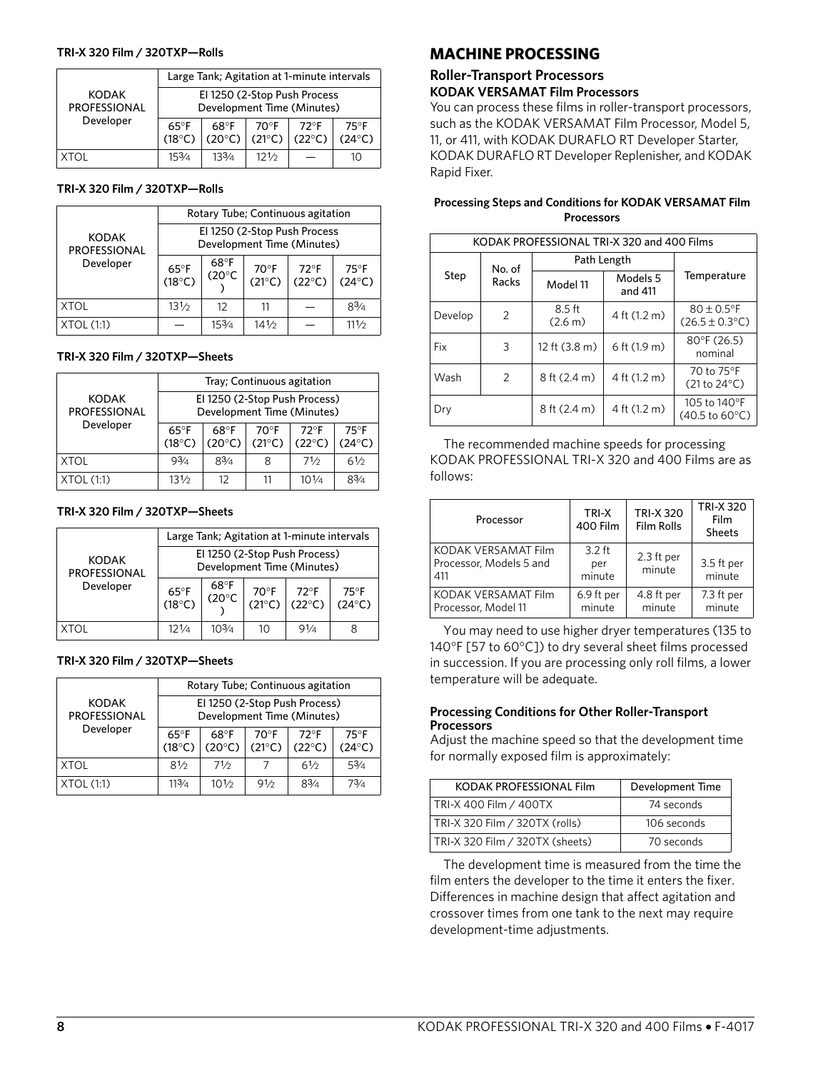#### **TRI-X 320 Film / 320TXP—Rolls**

|                              | Large Tank; Agitation at 1-minute intervals |                                                            |                         |                                  |                                   |  |  |  |
|------------------------------|---------------------------------------------|------------------------------------------------------------|-------------------------|----------------------------------|-----------------------------------|--|--|--|
| <b>KODAK</b><br>PROFESSIONAL |                                             | El 1250 (2-Stop Push Process<br>Development Time (Minutes) |                         |                                  |                                   |  |  |  |
| Developer                    | 65 $\mathrm{^{\circ}F}$<br>$(18^{\circ}C)$  | 68°F<br>$(20^{\circ}C)$                                    | 70°F<br>$(21^{\circ}C)$ | $72^{\circ}F$<br>$(22^{\circ}C)$ | $75^{\circ}$ F<br>$(24^{\circ}C)$ |  |  |  |
|                              | 153/4                                       | 133/4                                                      | 121/2                   |                                  | 10                                |  |  |  |

#### **TRI-X 320 Film / 320TXP—Rolls**

| <b>KODAK</b><br>PROFESSIONAL | Rotary Tube; Continuous agitation                          |                         |                                 |                                  |                                   |  |  |
|------------------------------|------------------------------------------------------------|-------------------------|---------------------------------|----------------------------------|-----------------------------------|--|--|
|                              | El 1250 (2-Stop Push Process<br>Development Time (Minutes) |                         |                                 |                                  |                                   |  |  |
| Developer                    | $65^{\circ}$ F<br>$(18^{\circ}C)$                          | 68°F<br>$(20^{\circ}C)$ | $70^\circ F$<br>$(21^{\circ}C)$ | $72^{\circ}F$<br>$(22^{\circ}C)$ | $75^{\circ}$ F<br>$(24^{\circ}C)$ |  |  |
| XTOL                         | 131/2                                                      | 12                      | 11                              |                                  | 83/4                              |  |  |
| XTOL (1:1)                   |                                                            | 153/4                   | 141⁄2                           |                                  | 111/2                             |  |  |

#### **TRI-X 320 Film / 320TXP—Sheets**

| <b>KODAK</b><br>PROFESSIONAL | Tray; Continuous agitation                                  |                                  |                                   |                                  |                                   |  |  |
|------------------------------|-------------------------------------------------------------|----------------------------------|-----------------------------------|----------------------------------|-----------------------------------|--|--|
|                              | El 1250 (2-Stop Push Process)<br>Development Time (Minutes) |                                  |                                   |                                  |                                   |  |  |
| Developer                    | $65^{\circ}$ F<br>$(18^{\circ}C)$                           | $68^{\circ}F$<br>$(20^{\circ}C)$ | $70^{\circ}$ F<br>$(21^{\circ}C)$ | $72^{\circ}F$<br>$(22^{\circ}C)$ | $75^{\circ}$ F<br>$(24^{\circ}C)$ |  |  |
| <b>XTOL</b>                  | 93/4                                                        | $8^{3}/_{4}$                     | 8                                 | 71/2                             | 61/2                              |  |  |
| XTOL (1:1)                   | $13\frac{1}{2}$                                             | 12                               |                                   | $10^{1/4}$                       | 83/A                              |  |  |

#### **TRI-X 320 Film / 320TXP—Sheets**

| <b>KODAK</b><br><b>PROFESSIONAL</b><br>Developer | Large Tank; Agitation at 1-minute intervals |                                                             |                                   |                                  |                                   |  |  |  |
|--------------------------------------------------|---------------------------------------------|-------------------------------------------------------------|-----------------------------------|----------------------------------|-----------------------------------|--|--|--|
|                                                  |                                             | El 1250 (2-Stop Push Process)<br>Development Time (Minutes) |                                   |                                  |                                   |  |  |  |
|                                                  | $65^{\circ}F$<br>(18°C)                     | $68^{\circ}$ F<br>$(20^{\circ}C)$                           | $70^{\circ}$ F<br>$(21^{\circ}C)$ | $72^{\circ}F$<br>$(22^{\circ}C)$ | $75^{\circ}$ F<br>$(24^{\circ}C)$ |  |  |  |
| <b>XTOL</b>                                      | 121/4                                       | 103/4                                                       | 10                                | 91/4                             |                                   |  |  |  |

#### **TRI-X 320 Film / 320TXP—Sheets**

|                                     | Rotary Tube; Continuous agitation                           |                         |                         |                                  |                                   |  |  |
|-------------------------------------|-------------------------------------------------------------|-------------------------|-------------------------|----------------------------------|-----------------------------------|--|--|
| <b>KODAK</b><br><b>PROFESSIONAL</b> | El 1250 (2-Stop Push Process)<br>Development Time (Minutes) |                         |                         |                                  |                                   |  |  |
| Developer                           | $65^{\circ}$ F<br>$(18^{\circ}C)$                           | 68°F<br>$(20^{\circ}C)$ | 70°F<br>$(21^{\circ}C)$ | $72^{\circ}F$<br>$(22^{\circ}C)$ | $75^{\circ}$ F<br>$(24^{\circ}C)$ |  |  |
| XTOL                                | 81/2                                                        | 71/2                    |                         | 61/2                             | 53/4                              |  |  |
| XTOL(1:1)                           | 113/4                                                       | 101/2                   | 91/2                    | 83/4                             | 73/4                              |  |  |

# **MACHINE PROCESSING**

## **Roller-Transport Processors KODAK VERSAMAT Film Processors**

You can process these films in roller-transport processors, such as the KODAK VERSAMAT Film Processor, Model 5, 11, or 411, with KODAK DURAFLO RT Developer Starter, KODAK DURAFLO RT Developer Replenisher, and KODAK Rapid Fixer.

| <b>Processing Steps and Conditions for KODAK VERSAMAT Film</b> |  |
|----------------------------------------------------------------|--|
| Processors                                                     |  |

| KODAK PROFESSIONAL TRI-X 320 and 400 Films |                 |                         |                     |                                                          |
|--------------------------------------------|-----------------|-------------------------|---------------------|----------------------------------------------------------|
| Step                                       | No. of<br>Racks | Path Length             |                     |                                                          |
|                                            |                 | Model 11                | Models 5<br>and 411 | Temperature                                              |
| Develop                                    | 2               | 8.5 ft<br>(2.6 m)       | 4 ft (1.2 m)        | $80 \pm 0.5$ °F<br>$(26.5 \pm 0.3^{\circ}C)$             |
| Fix                                        | 3               | 12 ft $(3.8 \text{ m})$ | 6 ft (1.9 m)        | $80^{\circ}$ F (26.5)<br>nominal                         |
| Wash                                       | 2               | 8 ft (2.4 m)            | 4 ft (1.2 m)        | 70 to 75°F<br>$(21 to 24^{\circ}C)$                      |
| Drv                                        |                 | 8 ft (2.4 m)            | 4 ft (1.2 m)        | 105 to 140°F<br>$(40.5 \text{ to } 60^{\circ} \text{C})$ |

The recommended machine speeds for processing KODAK PROFESSIONAL TRI-X 320 and 400 Films are as follows:

| Processor                                             | TRI-X<br>400 Film         | <b>TRI-X 320</b><br><b>Film Rolls</b> | <b>TRI-X 320</b><br>Film<br><b>Sheets</b> |
|-------------------------------------------------------|---------------------------|---------------------------------------|-------------------------------------------|
| KODAK VERSAMAT Film<br>Processor, Models 5 and<br>411 | $3.2$ ft<br>per<br>minute | 2.3 ft per<br>minute                  | 3.5 ft per<br>minute                      |
| KODAK VERSAMAT Film<br>Processor, Model 11            | 6.9 ft per<br>minute      | 4.8 ft per<br>minute                  | 7.3 ft per<br>minute                      |

You may need to use higher dryer temperatures (135 to 140°F [57 to 60°C]) to dry several sheet films processed in succession. If you are processing only roll films, a lower temperature will be adequate.

#### **Processing Conditions for Other Roller-Transport Processors**

Adjust the machine speed so that the development time for normally exposed film is approximately:

| KODAK PROFESSIONAL Film         | Development Time |
|---------------------------------|------------------|
| TRI-X 400 Film / 400TX          | 74 seconds       |
| TRI-X 320 Film / 320TX (rolls)  | 106 seconds      |
| TRI-X 320 Film / 320TX (sheets) | 70 seconds       |

The development time is measured from the time the film enters the developer to the time it enters the fixer. Differences in machine design that affect agitation and crossover times from one tank to the next may require development-time adjustments.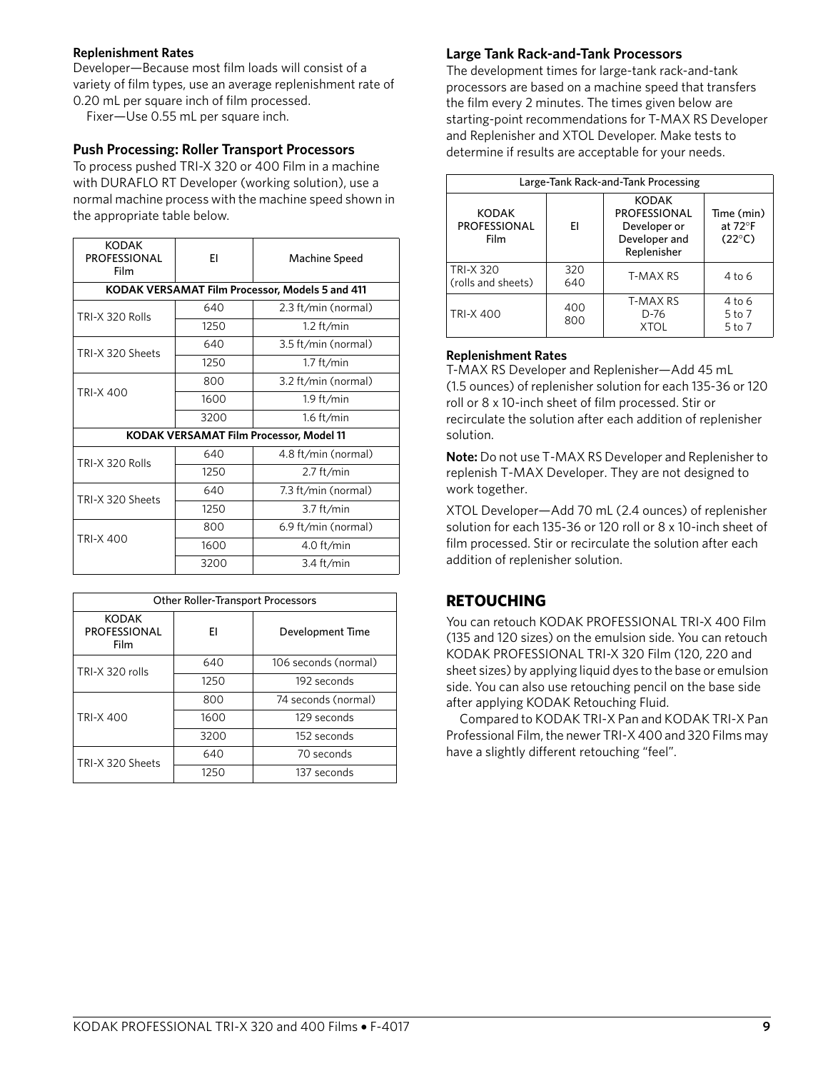#### **Replenishment Rates**

Developer—Because most film loads will consist of a variety of film types, use an average replenishment rate of 0.20 mL per square inch of film processed.

Fixer—Use 0.55 mL per square inch.

## **Push Processing: Roller Transport Processors**

To process pushed TRI-X 320 or 400 Film in a machine with DURAFLO RT Developer (working solution), use a normal machine process with the machine speed shown in the appropriate table below.

| <b>KODAK</b><br><b>PROFESSIONAL</b><br><b>Film</b> | FI   | Machine Speed                                   |
|----------------------------------------------------|------|-------------------------------------------------|
|                                                    |      | KODAK VERSAMAT Film Processor, Models 5 and 411 |
| TRI-X 320 Rolls                                    | 640  | 2.3 ft/min (normal)                             |
|                                                    | 1250 | $1.2$ ft/min                                    |
| TRI-X 320 Sheets                                   | 640  | 3.5 ft/min (normal)                             |
|                                                    | 1250 | $1.7$ ft/min                                    |
| <b>TRI-X 400</b>                                   | 800  | 3.2 ft/min (normal)                             |
|                                                    | 1600 | $1.9$ ft/min                                    |
|                                                    | 3200 | $1.6$ ft/min                                    |
| <b>KODAK VERSAMAT Film Processor, Model 11</b>     |      |                                                 |
| TRI-X 320 Rolls                                    | 640  | 4.8 ft/min (normal)                             |
|                                                    | 1250 | $2.7$ ft/min                                    |
| TRI-X 320 Sheets                                   | 640  | 7.3 ft/min (normal)                             |
|                                                    | 1250 | $3.7$ ft/min                                    |
| <b>TRI-X 400</b>                                   | 800  | 6.9 ft/min (normal)                             |
|                                                    | 1600 | 4.0 ft/min                                      |
|                                                    | 3200 | $3.4$ ft/min                                    |

| <b>Other Roller-Transport Processors</b>    |      |                      |
|---------------------------------------------|------|----------------------|
| <b>KODAK</b><br><b>PROFESSIONAL</b><br>Film | FI   | Development Time     |
| TRI-X 320 rolls                             | 640  | 106 seconds (normal) |
|                                             | 1250 | 192 seconds          |
| <b>TRI-X 400</b>                            | 800  | 74 seconds (normal)  |
|                                             | 1600 | 129 seconds          |
|                                             | 3200 | 152 seconds          |
| TRI-X 320 Sheets                            | 640  | 70 seconds           |
|                                             | 1250 | 137 seconds          |

## **Large Tank Rack-and-Tank Processors**

The development times for large-tank rack-and-tank processors are based on a machine speed that transfers the film every 2 minutes. The times given below are starting-point recommendations for T-MAX RS Developer and Replenisher and XTOL Developer. Make tests to determine if results are acceptable for your needs.

|                                             |            | Large-Tank Rack-and-Tank Processing                                                 |                                                  |
|---------------------------------------------|------------|-------------------------------------------------------------------------------------|--------------------------------------------------|
| <b>KODAK</b><br><b>PROFESSIONAL</b><br>Film | FI         | <b>KODAK</b><br><b>PROFESSIONAL</b><br>Developer or<br>Developer and<br>Replenisher | Time (min)<br>at $72^\circ$ F<br>$(22^{\circ}C)$ |
| <b>TRI-X 320</b><br>(rolls and sheets)      | 320<br>640 | T-MAX RS                                                                            | $4$ to 6                                         |
| <b>TRI-X 400</b>                            | 400<br>800 | T-MAX RS<br>$D-76$<br><b>XTOL</b>                                                   | 4 to 6<br>$5$ to $7$<br>$5$ to $7$               |

#### **Replenishment Rates**

T-MAX RS Developer and Replenisher—Add 45 mL (1.5 ounces) of replenisher solution for each 135-36 or 120 roll or 8 x 10-inch sheet of film processed. Stir or recirculate the solution after each addition of replenisher solution.

**Note:** Do not use T-MAX RS Developer and Replenisher to replenish T-MAX Developer. They are not designed to work together.

XTOL Developer—Add 70 mL (2.4 ounces) of replenisher solution for each 135-36 or 120 roll or 8 x 10-inch sheet of film processed. Stir or recirculate the solution after each addition of replenisher solution.

# **RETOUCHING**

You can retouch KODAK PROFESSIONAL TRI-X 400 Film (135 and 120 sizes) on the emulsion side. You can retouch KODAK PROFESSIONAL TRI-X 320 Film (120, 220 and sheet sizes) by applying liquid dyes to the base or emulsion side. You can also use retouching pencil on the base side after applying KODAK Retouching Fluid.

Compared to KODAK TRI-X Pan and KODAK TRI-X Pan Professional Film, the newer TRI-X 400 and 320 Films may have a slightly different retouching "feel".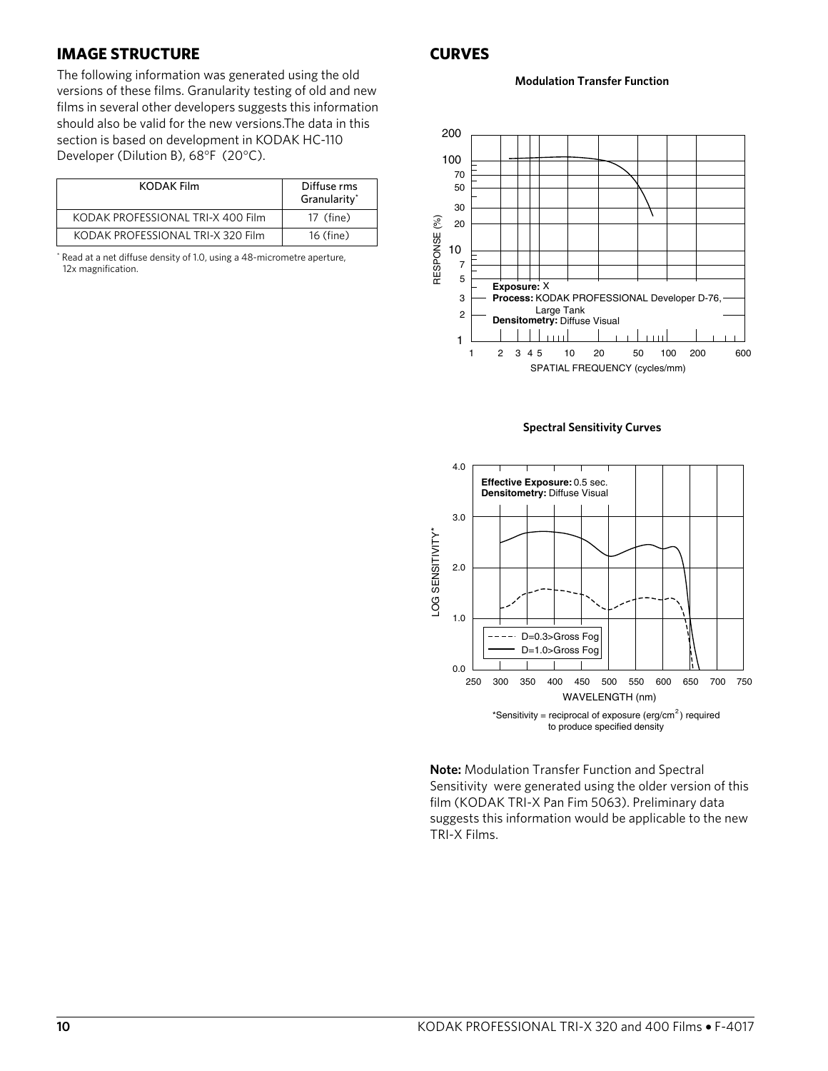## **IMAGE STRUCTURE**

The following information was generated using the old versions of these films. Granularity testing of old and new films in several other developers suggests this information should also be valid for the new versions.The data in this section is based on development in KODAK HC-110 Developer (Dilution B), 68°F (20°C).

| KODAK Film                        | Diffuse rms<br>Granularity* |
|-----------------------------------|-----------------------------|
| KODAK PROFESSIONAL TRI-X 400 Film | 17 (fine)                   |
| KODAK PROFESSIONAL TRI-X 320 Film | 16 (fine)                   |

\* Read at a net diffuse density of 1.0, using a 48-micrometre aperture, 12x magnification.

# **CURVES**

**Modulation Transfer Function**



**Spectral Sensitivity Curves**



**Note:** Modulation Transfer Function and Spectral Sensitivity were generated using the older version of this film (KODAK TRI-X Pan Fim 5063). Preliminary data suggests this information would be applicable to the new TRI-X Films.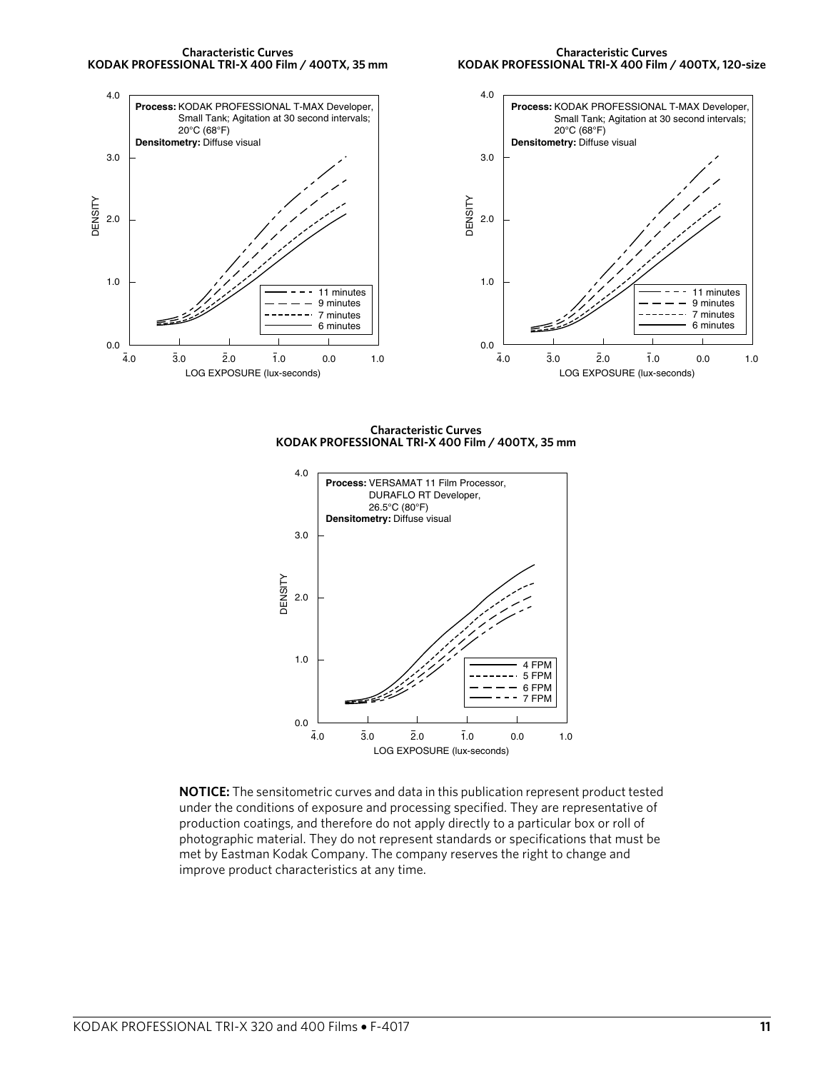

**Characteristic Curves KODAK PROFESSIONAL TRI-X 400 Film / 400TX, 120-size**



**Characteristic Curves KODAK PROFESSIONAL TRI-X 400 Film / 400TX, 35 mm**



**NOTICE:** The sensitometric curves and data in this publication represent product tested under the conditions of exposure and processing specified. They are representative of production coatings, and therefore do not apply directly to a particular box or roll of photographic material. They do not represent standards or specifications that must be met by Eastman Kodak Company. The company reserves the right to change and improve product characteristics at any time.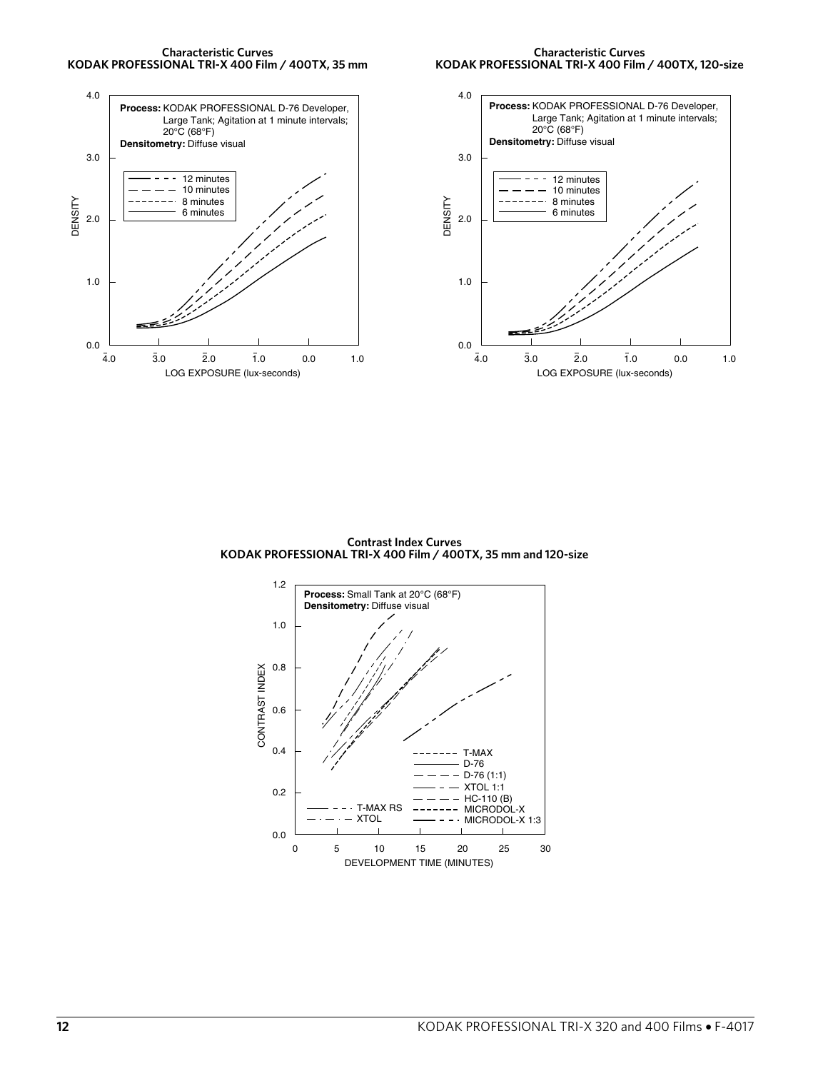





**Contrast Index Curves KODAK PROFESSIONAL TRI-X 400 Film / 400TX, 35 mm and 120-size**

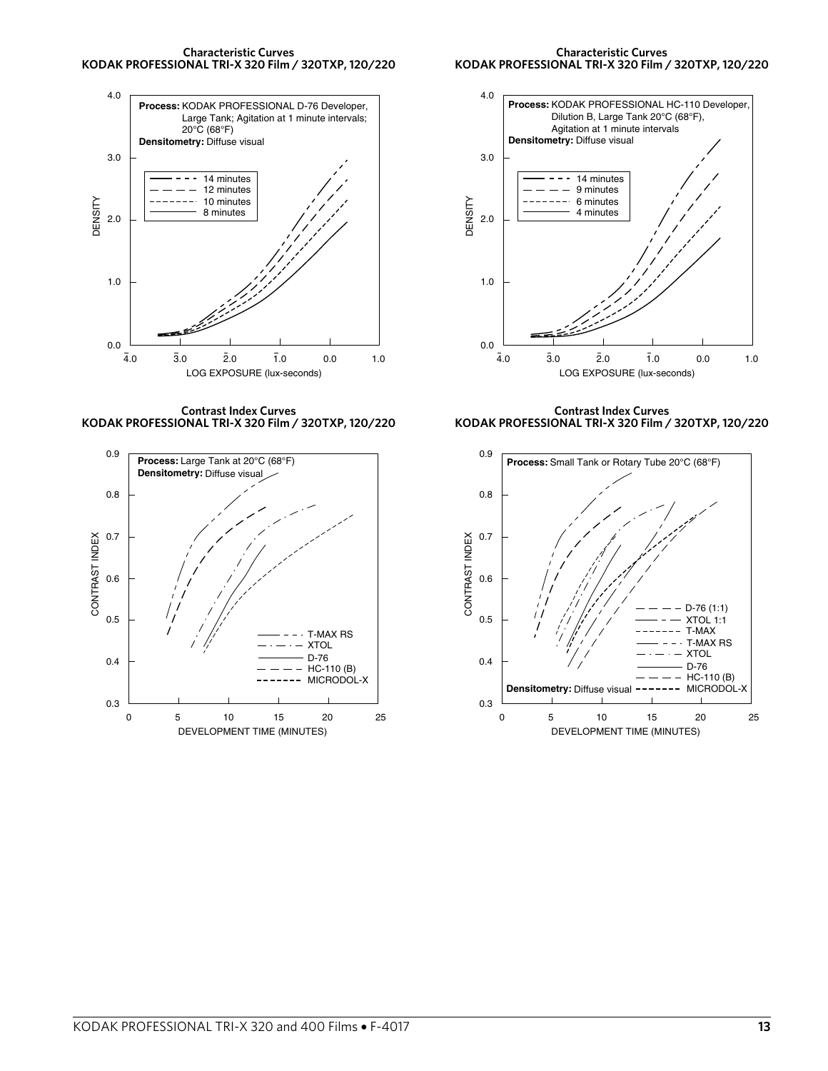

#### **Characteristic Curves KODAK PROFESSIONAL TRI-X 320 Film / 320TXP, 120/220**





**Contrast Index Curves KODAK PROFESSIONAL TRI-X 320 Film / 320TXP, 120/220**



**Contrast Index Curves KODAK PROFESSIONAL TRI-X 320 Film / 320TXP, 120/220**

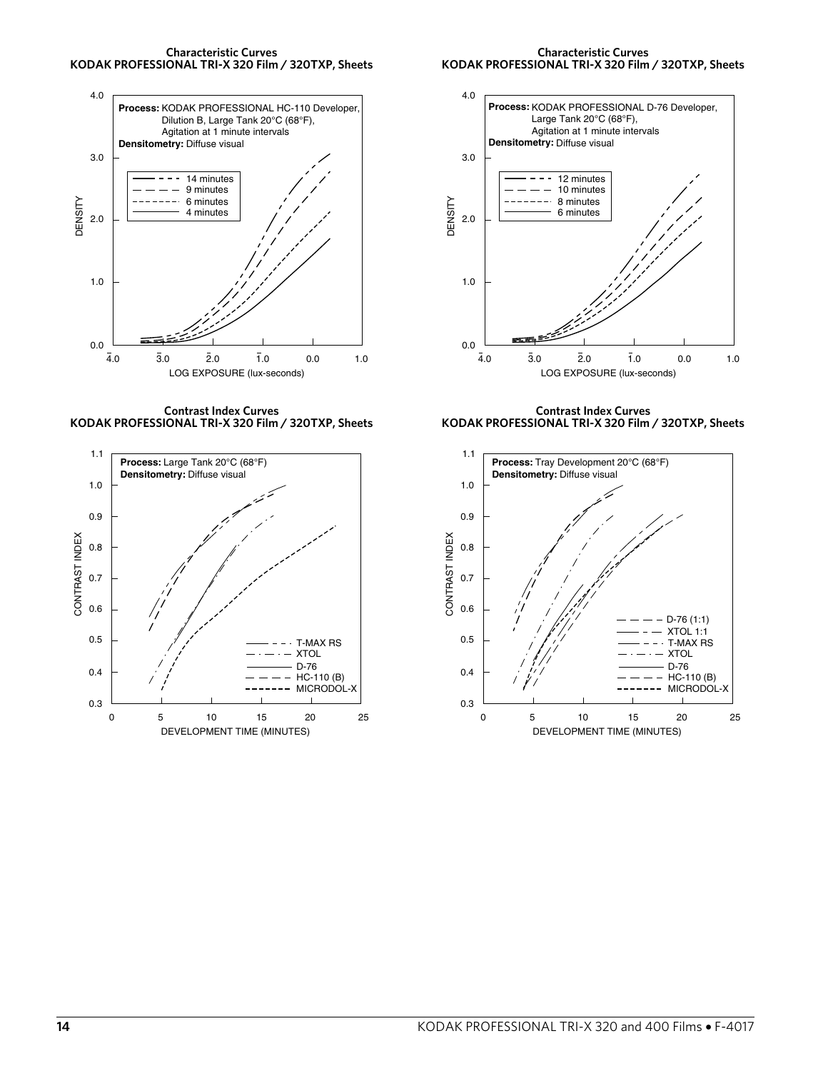



 Large Tank 20°C (68°F), Agitation at 1 minute intervals

**Process:** KODAK PROFESSIONAL D-76 Developer,

4.0



**Contrast Index Curves KODAK PROFESSIONAL TRI-X 320 Film / 320TXP, Sheets**



Densitometry: Diffuse visual 3.0 12 minutes 10 minutes 8 minutes DENSITY DENSITY 6 minutes 2.0 1.0 0.0  $\overline{2}.0$  $\bar{1.0}$  0.0  $4.0$ 3.0 1.0 LOG EXPOSURE (lux-seconds)

**Contrast Index Curves KODAK PROFESSIONAL TRI-X 320 Film / 320TXP, Sheets**

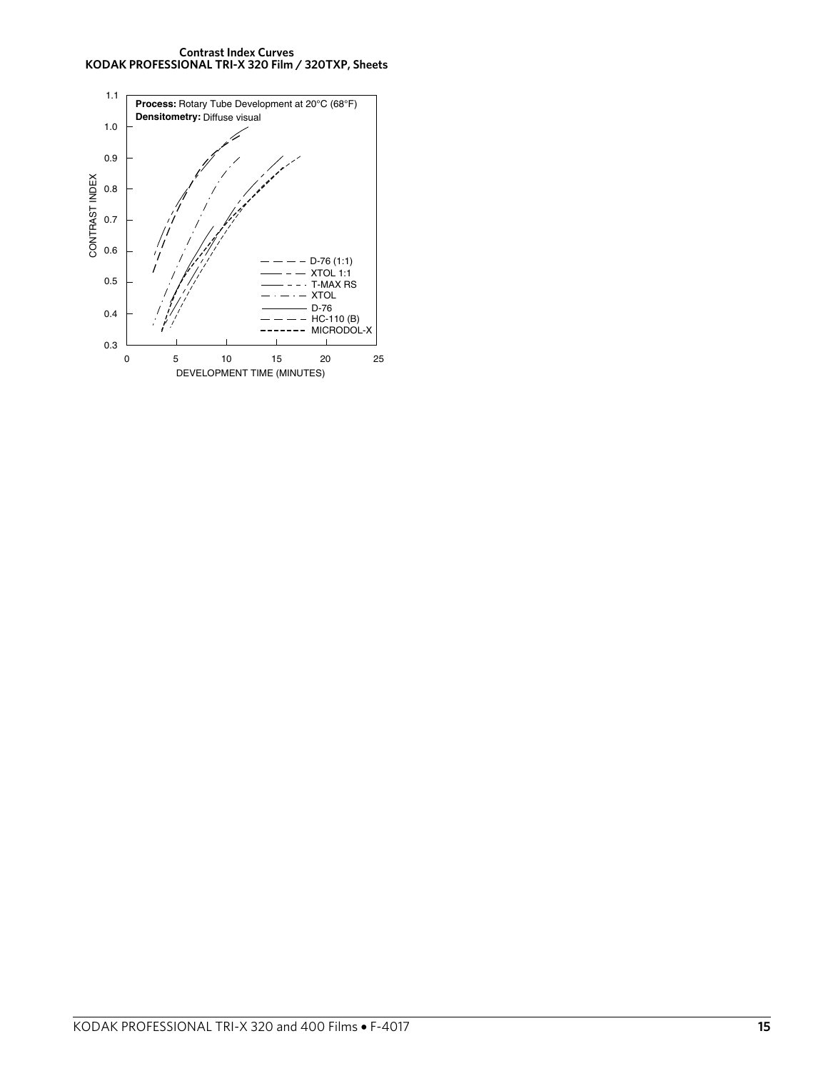**Contrast Index Curves KODAK PROFESSIONAL TRI-X 320 Film / 320TXP, Sheets**